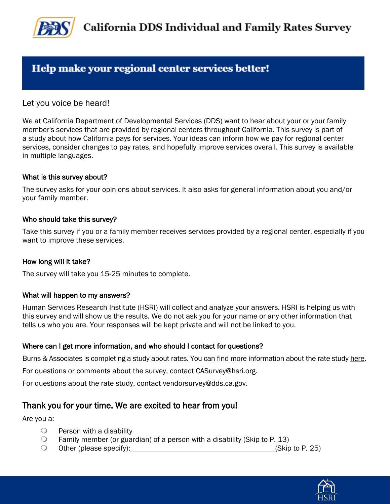

## Help make your regional center services better!

Let you voice be heard!

We at California Department of Developmental Services (DDS) want to hear about your or your family member's services that are provided by regional centers throughout California. This survey is part of a study about how California pays for services. Your ideas can inform how we pay for regional center services, consider changes to pay rates, and hopefully improve services overall. This survey is available in multiple languages.

#### What is this survey about?

The survey asks for your opinions about services. It also asks for general information about you and/or your family member.

#### Who should take this survey?

Take this survey if you or a family member receives services provided by a regional center, especially if you want to improve these services.

#### How long will it take?

The survey will take you 15-25 minutes to complete.

#### What will happen to my answers?

Human Services Research Institute (HSRI) will collect and analyze your answers. HSRI is helping us with this survey and will show us the results. We do not ask you for your name or any other information that tells us who you are. Your responses will be kept private and will not be linked to you.

#### Where can I get more information, and who should I contact for questions?

Burns & Associates is completing a study about rates. You can find more information about the rate study here.

For questions or comments about the survey, contact CASurvey@hsri.org.

For questions about the rate study, contact vendorsurvey@dds.ca.gov.

#### Thank you for your time. We are excited to hear from you!

Are you a:

- $\bigcirc$  Person with a disability
- **Family member (or guardian) of a person with a disability (Skip to P. 13)**
- Other (please specify): (Skip to P. 25)

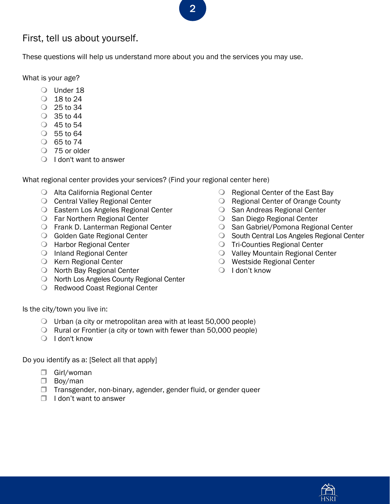## First, tell us about yourself.

These questions will help us understand more about you and the services you may use.

What is your age?

- Under 18
- $\circ$  18 to 24
- 25 to 34
- $\circ$  35 to 44
- 45 to 54
- 55 to 64
- $\circ$  65 to 74
- O 75 or older
- $\bigcirc$  I don't want to answer

What regional center provides your services? (Find your regional center here)

- Alta California Regional Center
- O Central Valley Regional Center
- Eastern Los Angeles Regional Center
- Far Northern Regional Center
- Frank D. Lanterman Regional Center
- **Golden Gate Regional Center**
- **O** Harbor Regional Center
- O Inland Regional Center
- O Kern Regional Center
- O North Bay Regional Center
- O North Los Angeles County Regional Center
- O Redwood Coast Regional Center
- O Regional Center of the East Bay
- O Regional Center of Orange County
- **San Andreas Regional Center**
- **San Diego Regional Center**
- O San Gabriel/Pomona Regional Center
- O South Central Los Angeles Regional Center
- Tri-Counties Regional Center
- Valley Mountain Regional Center
- Westside Regional Center
- $\bigcirc$  I don't know

Is the city/town you live in:

- $\bigcirc$  Urban (a city or metropolitan area with at least 50,000 people)
- $\bigcirc$  Rural or Frontier (a city or town with fewer than 50,000 people)
- $\bigcirc$  I don't know

Do you identify as a: [Select all that apply]

- □ Girl/woman
- □ Boy/man
- $\Box$  Transgender, non-binary, agender, gender fluid, or gender queer
- $\Box$  I don't want to answer

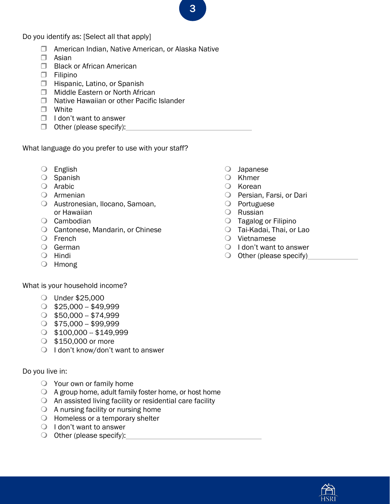Do you identify as: [Select all that apply]

- □ American Indian, Native American, or Alaska Native
- $\Box$  Asian
- **Black or African American**
- $\square$  Filipino
- **Hispanic, Latino, or Spanish**
- **Middle Eastern or North African**
- Native Hawaiian or other Pacific Islander
- □ White
- $\Box$  I don't want to answer
- $\Box$  Other (please specify):

What language do you prefer to use with your staff?

- English
- $\bigcirc$  Spanish
- Arabic
- Armenian
- Austronesian, Ilocano, Samoan, or Hawaiian
- Cambodian
- Cantonese, Mandarin, or Chinese
- O French
- German
- O Hindi
- Hmong

What is your household income?

- Under \$25,000
- $\circ$  \$25,000 \$49,999
- $\circ$  \$50,000 \$74,999
- $\circ$  \$75,000 \$99,999
- $\circ$  \$100,000 \$149,999
- $\circ$  \$150,000 or more
- $\bigcirc$  I don't know/don't want to answer

#### Do you live in:

- Your own or family home
- $\bigcirc$  A group home, adult family foster home, or host home
- $\bigcirc$  An assisted living facility or residential care facility
- $\bigcirc$  A nursing facility or nursing home
- Homeless or a temporary shelter
- $\bigcirc$  I don't want to answer
- $\bigcirc$  Other (please specify):
- Japanese
- O Khmer
- $\bigcirc$  Korean
- O Persian, Farsi, or Dari
- O Portuguese
- Russian
- Tagalog or Filipino
- Tai-Kadai, Thai, or Lao
- Vietnamese
- $\bigcirc$  I don't want to answer
- $\bigcirc$  Other (please specify)

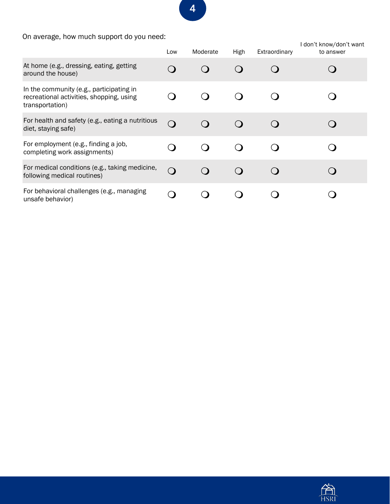On average, how much support do you need:

|                                                                                                         | Low                     | Moderate | High | Extraordinary | I don't know/don't want<br>to answer |
|---------------------------------------------------------------------------------------------------------|-------------------------|----------|------|---------------|--------------------------------------|
| At home (e.g., dressing, eating, getting<br>around the house)                                           | $\overline{\mathbf{C}}$ |          |      |               |                                      |
| In the community (e.g., participating in<br>recreational activities, shopping, using<br>transportation) |                         |          |      |               |                                      |
| For health and safety (e.g., eating a nutritious<br>diet, staying safe)                                 | $\Omega$                |          |      |               |                                      |
| For employment (e.g., finding a job,<br>completing work assignments)                                    |                         |          |      |               |                                      |
| For medical conditions (e.g., taking medicine,<br>following medical routines)                           | $\Omega$                |          |      |               |                                      |
| For behavioral challenges (e.g., managing<br>unsafe behavior)                                           | $\blacksquare$          |          |      |               |                                      |

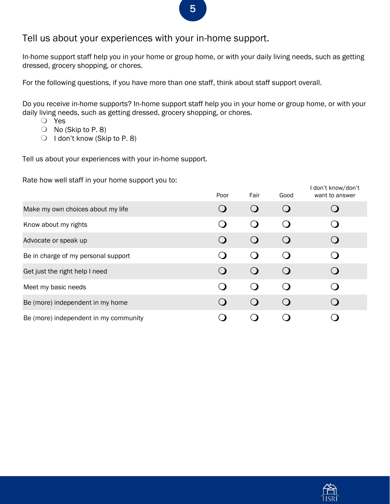#### Tell us about your experiences with your in-home support.

In-home support staff help you in your home or group home, or with your daily living needs, such as getting dressed, grocery shopping, or chores.

For the following questions, if you have more than one staff, think about staff support overall.

Do you receive in-home supports? In-home support staff help you in your home or group home, or with your daily living needs, such as getting dressed, grocery shopping, or chores.

- Yes
- $\bigcirc$  No (Skip to P. 8)
- $\bigcirc$  I don't know (Skip to P. 8)

Tell us about your experiences with your in-home support.

Rate how well staff in your home support you to:

| ╯<br>. .                              | Poor | Fair                   | Good | I don't know/don't<br>want to answer |
|---------------------------------------|------|------------------------|------|--------------------------------------|
| Make my own choices about my life     |      | $\left( \quad \right)$ |      |                                      |
| Know about my rights                  |      | $\bigcirc$             |      |                                      |
| Advocate or speak up                  |      | $\bigcirc$             |      |                                      |
| Be in charge of my personal support   |      | $\left( \right)$       |      |                                      |
| Get just the right help I need        |      | $\left( \right)$       |      |                                      |
| Meet my basic needs                   |      | $\Omega$               |      |                                      |
| Be (more) independent in my home      |      | $\bigcirc$             |      |                                      |
| Be (more) independent in my community |      |                        |      |                                      |

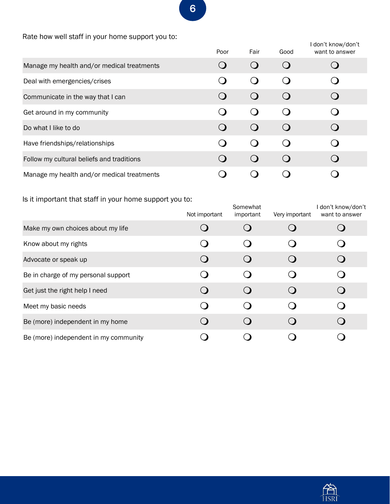Rate how well staff in your home support you to:

|                                            | Poor | Fair        | Good | I don't know/don't<br>want to answer |
|--------------------------------------------|------|-------------|------|--------------------------------------|
| Manage my health and/or medical treatments |      | $\bigcirc$  |      |                                      |
| Deal with emergencies/crises               |      | $\bigcirc$  |      |                                      |
| Communicate in the way that I can          |      | $\bigcirc$  |      |                                      |
| Get around in my community                 |      | ( )         |      |                                      |
| Do what I like to do                       |      | $\Omega$    |      |                                      |
| Have friendships/relationships             |      | $\mathbf C$ |      |                                      |
| Follow my cultural beliefs and traditions  |      | $\bigcirc$  |      |                                      |
| Manage my health and/or medical treatments |      |             |      |                                      |

Is it important that staff in your home support you to:

| .<br>$\overline{\phantom{a}}$         | Not important | Somewhat<br>important                         | Very important | don't know/don't<br>want to answer |
|---------------------------------------|---------------|-----------------------------------------------|----------------|------------------------------------|
| Make my own choices about my life     |               | $\left(\right)$                               |                |                                    |
| Know about my rights                  |               | ( )                                           |                |                                    |
| Advocate or speak up                  |               | $\left( \right)$                              |                |                                    |
| Be in charge of my personal support   |               |                                               |                |                                    |
| Get just the right help I need        |               | $\left( \right)$                              |                |                                    |
| Meet my basic needs                   |               | $\left( \right)$                              |                |                                    |
| Be (more) independent in my home      |               | $\left( \begin{array}{c} \end{array} \right)$ |                |                                    |
| Be (more) independent in my community |               |                                               |                |                                    |

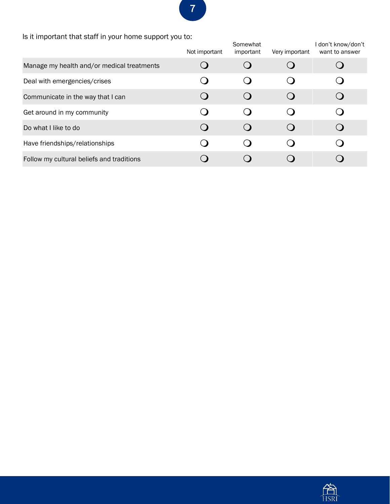### Is it important that staff in your home support you to:

|                                            | Not important | Somewhat<br>important  | Very important | I don't know/don't<br>want to answer |
|--------------------------------------------|---------------|------------------------|----------------|--------------------------------------|
| Manage my health and/or medical treatments |               |                        |                |                                      |
| Deal with emergencies/crises               |               | $\left( \quad \right)$ |                |                                      |
| Communicate in the way that I can          |               | $\left(\right)$        |                |                                      |
| Get around in my community                 |               |                        | $\Box$         |                                      |
| Do what I like to do                       |               | $\Omega$               |                |                                      |
| Have friendships/relationships             |               |                        |                |                                      |
| Follow my cultural beliefs and traditions  |               |                        |                |                                      |

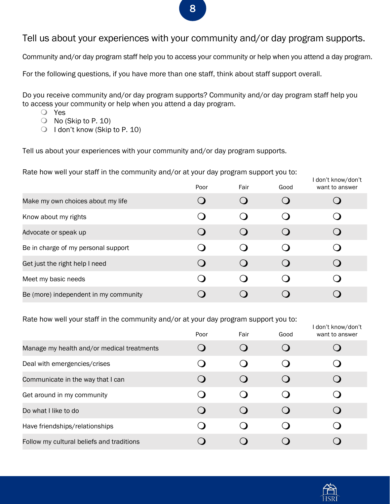#### Tell us about your experiences with your community and/or day program supports.

Community and/or day program staff help you to access your community or help when you attend a day program.

For the following questions, if you have more than one staff, think about staff support overall.

Do you receive community and/or day program supports? Community and/or day program staff help you to access your community or help when you attend a day program.

- Yes
- $\bigcirc$  No (Skip to P. 10)
- $\bigcirc$  I don't know (Skip to P. 10)

Tell us about your experiences with your community and/or day program supports.

Rate how well your staff in the community and/or at your day program support you to:

|                                       | Poor | Fair | Good             | I don't know/don't<br>want to answer |
|---------------------------------------|------|------|------------------|--------------------------------------|
| Make my own choices about my life     |      |      |                  |                                      |
| Know about my rights                  |      |      |                  |                                      |
| Advocate or speak up                  |      |      | $\left( \right)$ |                                      |
| Be in charge of my personal support   |      |      |                  |                                      |
| Get just the right help I need        |      |      |                  |                                      |
| Meet my basic needs                   |      |      |                  |                                      |
| Be (more) independent in my community |      |      |                  |                                      |

Rate how well your staff in the community and/or at your day program support you to:

|                                            | Poor | Fair | Good | I don't know/don't<br>want to answer |
|--------------------------------------------|------|------|------|--------------------------------------|
| Manage my health and/or medical treatments |      |      |      |                                      |
| Deal with emergencies/crises               |      |      |      |                                      |
| Communicate in the way that I can          |      |      |      |                                      |
| Get around in my community                 |      |      |      |                                      |
| Do what I like to do                       |      |      |      |                                      |
| Have friendships/relationships             |      |      |      |                                      |
| Follow my cultural beliefs and traditions  |      |      |      |                                      |

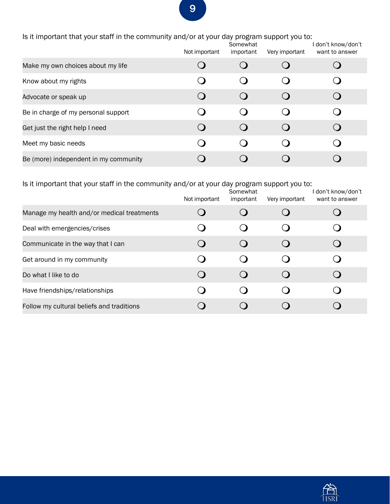Is it important that your staff in the community and/or at your day program support you to:

|                                       | Not important    | Somewhat<br>important | Very important | I don't know/don't<br>want to answer |
|---------------------------------------|------------------|-----------------------|----------------|--------------------------------------|
| Make my own choices about my life     |                  |                       |                |                                      |
| Know about my rights                  |                  |                       |                |                                      |
| Advocate or speak up                  |                  |                       |                |                                      |
| Be in charge of my personal support   |                  |                       |                |                                      |
| Get just the right help I need        | $\left( \right)$ |                       |                |                                      |
| Meet my basic needs                   |                  |                       |                |                                      |
| Be (more) independent in my community |                  |                       |                |                                      |

Is it important that your staff in the community and/or at your day program support you to:

|                                            | Not important | Somewhat<br>important | Very important | I don't know/don't<br>want to answer |
|--------------------------------------------|---------------|-----------------------|----------------|--------------------------------------|
| Manage my health and/or medical treatments |               |                       |                |                                      |
| Deal with emergencies/crises               |               |                       |                |                                      |
| Communicate in the way that I can          |               |                       |                |                                      |
| Get around in my community                 |               |                       |                |                                      |
| Do what I like to do                       | ( )           |                       |                |                                      |
| Have friendships/relationships             |               |                       |                |                                      |
| Follow my cultural beliefs and traditions  |               |                       |                |                                      |

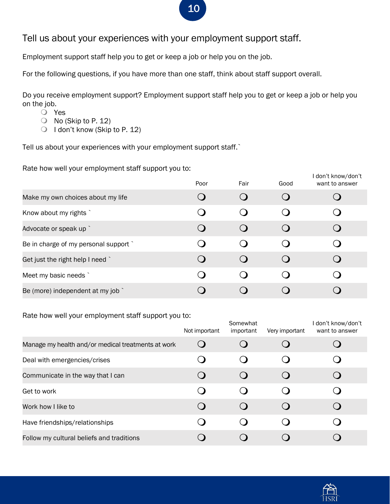#### Tell us about your experiences with your employment support staff.

Employment support staff help you to get or keep a job or help you on the job.

For the following questions, if you have more than one staff, think about staff support overall.

Do you receive employment support? Employment support staff help you to get or keep a job or help you on the job.

- Yes
- $\bigcirc$  No (Skip to P. 12)
- O I don't know (Skip to P. 12)

Tell us about your experiences with your employment support staff.`

Rate how well your employment staff support you to:

|                                       | Poor | Fair | Good             | I don't know/don't<br>want to answer |
|---------------------------------------|------|------|------------------|--------------------------------------|
| Make my own choices about my life     |      |      |                  |                                      |
| Know about my rights                  |      |      |                  |                                      |
| Advocate or speak up `                |      |      | $\left( \right)$ |                                      |
| Be in charge of my personal support ` |      |      |                  |                                      |
| Get just the right help I need `      |      |      |                  |                                      |
| Meet my basic needs `                 |      |      |                  |                                      |
| Be (more) independent at my job `     |      |      |                  |                                      |

#### Rate how well your employment staff support you to:

|                                                    | Not important | Somewhat<br>important | Very important   | I don't know/don't<br>want to answer |
|----------------------------------------------------|---------------|-----------------------|------------------|--------------------------------------|
| Manage my health and/or medical treatments at work |               |                       |                  |                                      |
| Deal with emergencies/crises                       |               |                       |                  |                                      |
| Communicate in the way that I can                  |               |                       |                  |                                      |
| Get to work                                        |               |                       |                  |                                      |
| Work how I like to                                 |               |                       | $\left( \right)$ |                                      |
| Have friendships/relationships                     |               |                       |                  |                                      |
| Follow my cultural beliefs and traditions          |               |                       |                  |                                      |

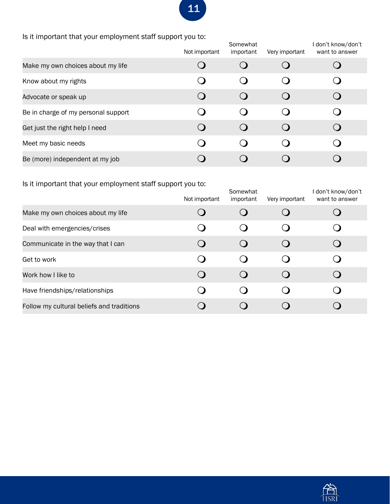Is it important that your employment staff support you to:

|                                     | Not important | Somewhat<br>important | Very important | I don't know/don't<br>want to answer |
|-------------------------------------|---------------|-----------------------|----------------|--------------------------------------|
| Make my own choices about my life   |               |                       |                |                                      |
| Know about my rights                |               |                       |                |                                      |
| Advocate or speak up                |               |                       |                |                                      |
| Be in charge of my personal support |               |                       |                |                                      |
| Get just the right help I need      |               |                       | $\Omega$       |                                      |
| Meet my basic needs                 |               |                       |                |                                      |
| Be (more) independent at my job     |               |                       |                |                                      |

Is it important that your employment staff support you to:

|                                           | Not important | Somewhat<br>important | Very important | I don't know/don't<br>want to answer |
|-------------------------------------------|---------------|-----------------------|----------------|--------------------------------------|
| Make my own choices about my life         |               |                       |                |                                      |
| Deal with emergencies/crises              |               |                       |                |                                      |
| Communicate in the way that I can         |               |                       |                |                                      |
| Get to work                               |               |                       |                |                                      |
| Work how I like to                        |               |                       |                |                                      |
| Have friendships/relationships            |               |                       |                |                                      |
| Follow my cultural beliefs and traditions |               |                       |                |                                      |

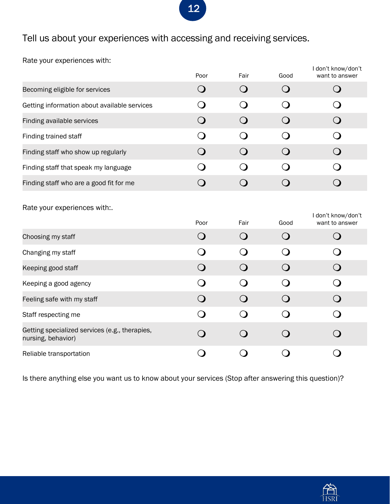Tell us about your experiences with accessing and receiving services.

Rate your experiences with:

|                                                                      | Poor        | Fair             | Good         | I don't know/don't<br>want to answer |
|----------------------------------------------------------------------|-------------|------------------|--------------|--------------------------------------|
| Becoming eligible for services                                       | $\mathbf O$ | $\bigcirc$       | $\bigcirc$   | $\bigcirc$                           |
| Getting information about available services                         | ∩           | $\Omega$         | $\mathbf{O}$ | $\mathbf O$                          |
| Finding available services                                           | $\bigcirc$  | $\bigcirc$       | $\bigcirc$   | $\bigcirc$                           |
| Finding trained staff                                                | ∩           | ◯                | $\bigcirc$   | O                                    |
| Finding staff who show up regularly                                  | $\bigcirc$  | $\bigcirc$       | $\bigcirc$   | $\bigcirc$                           |
| Finding staff that speak my language                                 | ◯           | $\left( \right)$ | $\Omega$     | $\Omega$                             |
| Finding staff who are a good fit for me                              | $\bigcirc$  | $\bigcirc$       | $\bigcirc$   | $\bigcirc$                           |
| Rate your experiences with:.                                         |             |                  |              | I don't know/don't                   |
|                                                                      | Poor        | Fair             | Good         | want to answer                       |
| Choosing my staff                                                    | $\Omega$    | $\Omega$         | $\Omega$     | $\bigcirc$                           |
| Changing my staff                                                    | ∩           | $\mathbf C$      | $\Omega$     | $\Omega$                             |
| Keeping good staff                                                   | $\Omega$    | $\Omega$         | $\Omega$     | $\Omega$                             |
| Keeping a good agency                                                | $\Omega$    | $\Omega$         | $\Omega$     | $\overline{O}$                       |
| Feeling safe with my staff                                           | $\Omega$    | $\Omega$         | $\Omega$     | $\bigcirc$                           |
| Staff respecting me                                                  | O           | $\bigcirc$       | $\bigcirc$   | $\bigcirc$                           |
| Getting specialized services (e.g., therapies,<br>nursing, behavior) | $\Omega$    | $\Omega$         | $\Omega$     | $\Omega$                             |

Is there anything else you want us to know about your services (Stop after answering this question)?

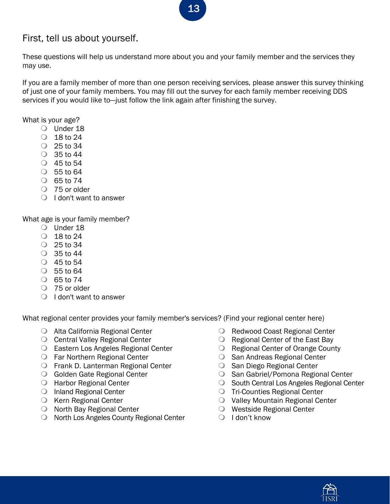## First, tell us about yourself.

These questions will help us understand more about you and your family member and the services they may use.

If you are a family member of more than one person receiving services, please answer this survey thinking of just one of your family members. You may fill out the survey for each family member receiving DDS services if you would like to—just follow the link again after finishing the survey.

#### What is your age?

- O Under 18
- $\circ$  18 to 24
- $\circ$  25 to 34
- $\circ$  35 to 44
- 45 to 54
- 55 to 64
- $\circ$  65 to 74
- O 75 or older
- $\bigcirc$  I don't want to answer

What age is your family member?

- O Under 18
- $\circ$  18 to 24
- $\circ$  25 to 34
- $\circ$  35 to 44
- 45 to 54
- $\circ$  55 to 64
- $\circ$  65 to 74
- O 75 or older
- $\bigcirc$  I don't want to answer

What regional center provides your family member's services? (Find your regional center here)

- Alta California Regional Center
- O Central Valley Regional Center
- Eastern Los Angeles Regional Center
- Far Northern Regional Center
- Frank D. Lanterman Regional Center
- **Golden Gate Regional Center**
- Harbor Regional Center
- O Inland Regional Center
- O Kern Regional Center
- O North Bay Regional Center
- O North Los Angeles County Regional Center
- Redwood Coast Regional Center
- O Regional Center of the East Bay
- O Regional Center of Orange County
- **San Andreas Regional Center**
- **San Diego Regional Center**
- O San Gabriel/Pomona Regional Center
- O South Central Los Angeles Regional Center
- Tri-Counties Regional Center
- Valley Mountain Regional Center
- Westside Regional Center
- $\bigcirc$  I don't know

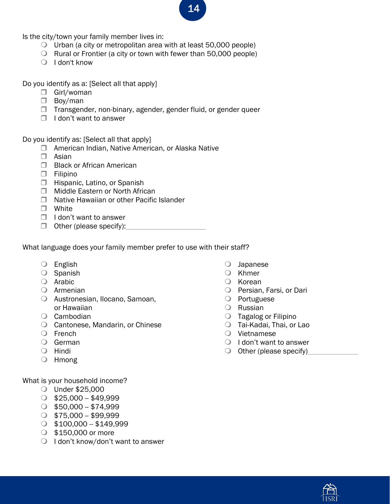Is the city/town your family member lives in:

- $\bigcirc$  Urban (a city or metropolitan area with at least 50,000 people)
- $\bigcirc$  Rural or Frontier (a city or town with fewer than 50,000 people)
- $\bigcirc$  I don't know

Do you identify as a: [Select all that apply]

- □ Girl/woman
- Boy/man
- $\Box$  Transgender, non-binary, agender, gender fluid, or gender queer
- $\Box$  I don't want to answer

Do you identify as: [Select all that apply]

- □ American Indian, Native American, or Alaska Native
- Asian
- **Black or African American**
- Filipino
- **Hispanic, Latino, or Spanish**
- **Middle Eastern or North African**
- □ Native Hawaiian or other Pacific Islander
- White
- $\Box$  I don't want to answer
- $\Box$  Other (please specify):

What language does your family member prefer to use with their staff?

- English
- O Spanish
- Arabic
- Armenian
- Austronesian, Ilocano, Samoan, or Hawaiian
- Cambodian
- Cantonese, Mandarin, or Chinese
- French
- German
- O Hindi
- Hmong

What is your household income?

- Under \$25,000
- $\circ$  \$25,000 \$49,999
- $\circ$  \$50,000 \$74,999
- $\circ$  \$75,000 \$99,999
- $\circ$  \$100,000 \$149,999
- \$150,000 or more
- $\bigcirc$  I don't know/don't want to answer
- Japanese
- O Khmer
- O Korean
- O Persian, Farsi, or Dari
- O Portuguese
- Russian
- Tagalog or Filipino
- Tai-Kadai, Thai, or Lao
- Vietnamese
- $\bigcirc$  I don't want to answer
- $\bigcirc$  Other (please specify)

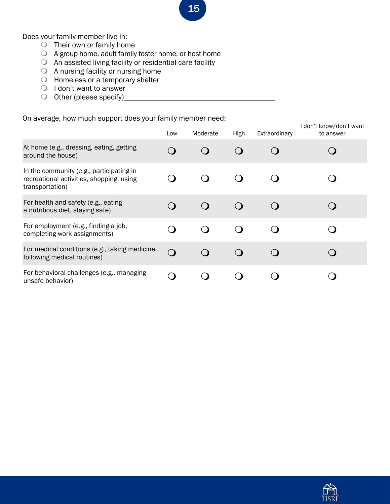Does your family member live in:

- $\bigcirc$  Their own or family home
- A group home, adult family foster home, or host home
- An assisted living facility or residential care facility
- A nursing facility or nursing home
- Homeless or a temporary shelter
- $\bigcirc$  I don't want to answer
- O Other (please specify)\_\_

On average, how much support does your family member need:

|                                                                                                         | Low            | Moderate | High | Extraordinary | I don't know/don't want<br>to answer |
|---------------------------------------------------------------------------------------------------------|----------------|----------|------|---------------|--------------------------------------|
| At home (e.g., dressing, eating, getting<br>around the house)                                           |                |          |      |               |                                      |
| In the community (e.g., participating in<br>recreational activities, shopping, using<br>transportation) |                |          |      |               |                                      |
| For health and safety (e.g., eating<br>a nutritious diet, staying safe)                                 |                |          |      |               |                                      |
| For employment (e.g., finding a job,<br>completing work assignments)                                    |                |          |      |               |                                      |
| For medical conditions (e.g., taking medicine,<br>following medical routines)                           | $\Omega$       |          |      |               |                                      |
| For behavioral challenges (e.g., managing<br>unsafe behavior)                                           | $\blacksquare$ |          |      |               |                                      |

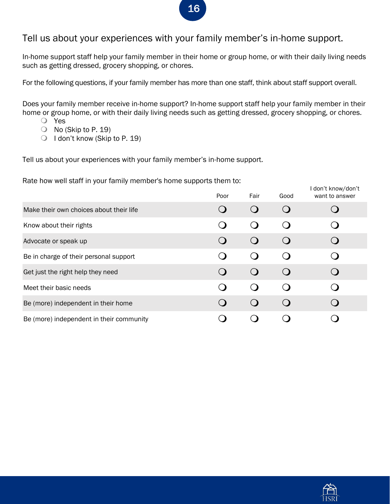### Tell us about your experiences with your family member's in-home support.

In-home support staff help your family member in their home or group home, or with their daily living needs such as getting dressed, grocery shopping, or chores.

For the following questions, if your family member has more than one staff, think about staff support overall.

Does your family member receive in-home support? In-home support staff help your family member in their home or group home, or with their daily living needs such as getting dressed, grocery shopping, or chores.

- Yes
- $\bigcirc$  No (Skip to P. 19)
- O I don't know (Skip to P. 19)

Tell us about your experiences with your family member's in-home support.

Rate how well staff in your family member's home supports them to:

|                                          | . .<br>Poor | Fair                     | Good | I don't know/don't<br>want to answer |
|------------------------------------------|-------------|--------------------------|------|--------------------------------------|
| Make their own choices about their life  |             | $\overline{\mathcal{L}}$ |      |                                      |
| Know about their rights                  |             | $\bigcirc$               |      |                                      |
| Advocate or speak up                     |             | $\bigcirc$               |      |                                      |
| Be in charge of their personal support   |             | $\bigcirc$               |      |                                      |
| Get just the right help they need        |             | $\bigcirc$               |      |                                      |
| Meet their basic needs                   |             | ( )                      |      |                                      |
| Be (more) independent in their home      |             | $\bigcirc$               |      |                                      |
| Be (more) independent in their community |             |                          |      |                                      |



### 16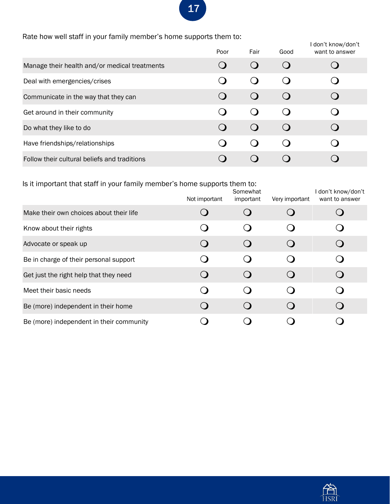Rate how well staff in your family member's home supports them to:

|                                               | Poor | Fair | Good | I don't know/don't<br>want to answer |
|-----------------------------------------------|------|------|------|--------------------------------------|
| Manage their health and/or medical treatments |      |      |      |                                      |
| Deal with emergencies/crises                  |      |      |      |                                      |
| Communicate in the way that they can          |      |      |      |                                      |
| Get around in their community                 |      |      |      |                                      |
| Do what they like to do                       |      |      |      |                                      |
| Have friendships/relationships                |      |      |      |                                      |
| Follow their cultural beliefs and traditions  |      |      |      |                                      |

| Is it important that staff in your family member's home supports them to: |               |                       |                |                                      |
|---------------------------------------------------------------------------|---------------|-----------------------|----------------|--------------------------------------|
|                                                                           | Not important | Somewhat<br>important | Very important | I don't know/don't<br>want to answer |
| Make their own choices about their life                                   |               |                       |                |                                      |
| Know about their rights                                                   |               |                       |                |                                      |
| Advocate or speak up                                                      |               |                       |                |                                      |
| Be in charge of their personal support                                    |               |                       |                |                                      |
| Get just the right help that they need                                    |               |                       |                |                                      |
| Meet their basic needs                                                    |               |                       |                |                                      |
| Be (more) independent in their home                                       |               |                       |                |                                      |
| Be (more) independent in their community                                  |               |                       |                |                                      |

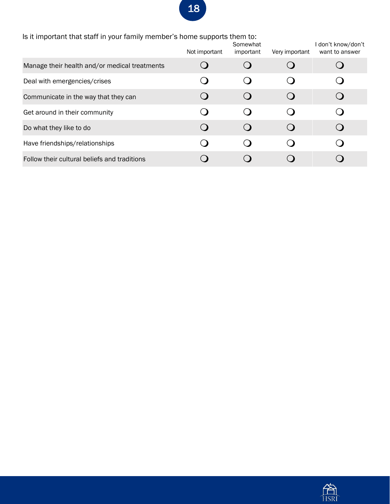| Is it important that staff in your family member's home supports them to: |               |                                                 |                |                                    |
|---------------------------------------------------------------------------|---------------|-------------------------------------------------|----------------|------------------------------------|
|                                                                           | Not important | Somewhat<br>important                           | Very important | don't know/don't<br>want to answer |
| Manage their health and/or medical treatments                             |               |                                                 |                |                                    |
| Deal with emergencies/crises                                              |               | $\left(\begin{array}{c}\right)$                 |                |                                    |
| Communicate in the way that they can                                      |               | $\left( \right)$                                |                |                                    |
| Get around in their community                                             |               | $\left( \begin{array}{c} 1 \end{array} \right)$ |                |                                    |
| Do what they like to do                                                   |               | $\left( \begin{array}{c} \end{array} \right)$   |                |                                    |
| Have friendships/relationships                                            |               |                                                 |                |                                    |
| Follow their cultural beliefs and traditions                              |               |                                                 |                |                                    |

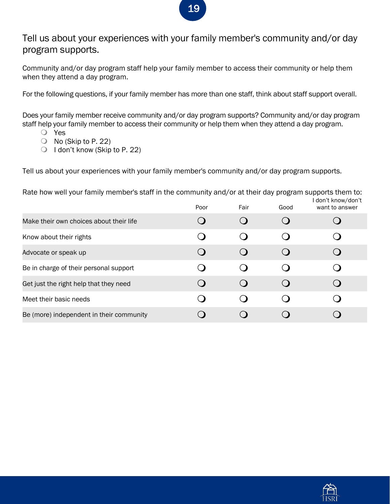#### Tell us about your experiences with your family member's community and/or day program supports.

Community and/or day program staff help your family member to access their community or help them when they attend a day program.

For the following questions, if your family member has more than one staff, think about staff support overall.

Does your family member receive community and/or day program supports? Community and/or day program staff help your family member to access their community or help them when they attend a day program.

- Yes
- No (Skip to P. 22)
- O I don't know (Skip to P. 22)

Tell us about your experiences with your family member's community and/or day program supports.

Rate how well your family member's staff in the community and/or at their day program supports them to:

|                                          | Poor | Fair | Good | I don't know/don't<br>want to answer |
|------------------------------------------|------|------|------|--------------------------------------|
| Make their own choices about their life  |      |      |      |                                      |
| Know about their rights                  |      |      |      |                                      |
| Advocate or speak up                     |      |      |      |                                      |
| Be in charge of their personal support   |      |      |      |                                      |
| Get just the right help that they need   |      |      |      |                                      |
| Meet their basic needs                   |      |      |      |                                      |
| Be (more) independent in their community |      |      |      |                                      |



## 19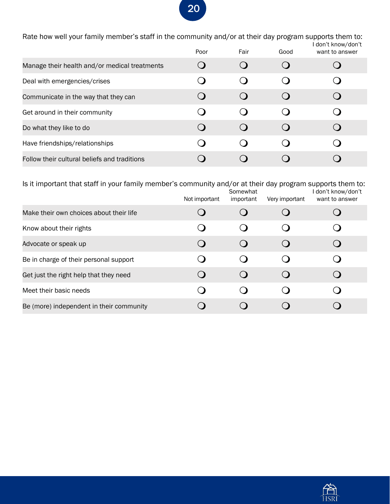Rate how well your family member's staff in the community and/or at their day program supports them to: I don't know/don't

|                                               | Poor                   | Fair | Good | , GUIL CINTUM, GUIL C<br>want to answer |
|-----------------------------------------------|------------------------|------|------|-----------------------------------------|
| Manage their health and/or medical treatments |                        |      |      |                                         |
| Deal with emergencies/crises                  |                        |      |      |                                         |
| Communicate in the way that they can          | $\left( \quad \right)$ |      |      |                                         |
| Get around in their community                 |                        |      |      |                                         |
| Do what they like to do                       |                        |      |      |                                         |
| Have friendships/relationships                |                        |      |      |                                         |
| Follow their cultural beliefs and traditions  |                        |      |      |                                         |

Is it important that staff in your family member's community and/or at their day program supports them to: Not important Somewhat important Very important I don't know/don't want to answer Make their own choices about their life  $\qquad \qquad Q \qquad \qquad Q \qquad \qquad Q$ Know about their rights  $\qquad \qquad Q \qquad \qquad Q \qquad \qquad Q$ Advocate or speak up  $\qquad \qquad \mathsf{Q} \qquad \qquad \mathsf{Q} \qquad \qquad \mathsf{Q} \qquad \qquad \mathsf{Q}$ Be in charge of their personal support  $\qquad \qquad Q \qquad \qquad Q \qquad \qquad Q$ Get just the right help that they need  $\qquad \qquad \mathbf{Q} \qquad \qquad \mathbf{Q} \qquad \qquad \mathbf{Q} \qquad \qquad \mathbf{Q}$ Meet their basic needs **O** Q Q Q Be (more) independent in their community  $\qquad \qquad Q \qquad \qquad Q \qquad \qquad Q$ 

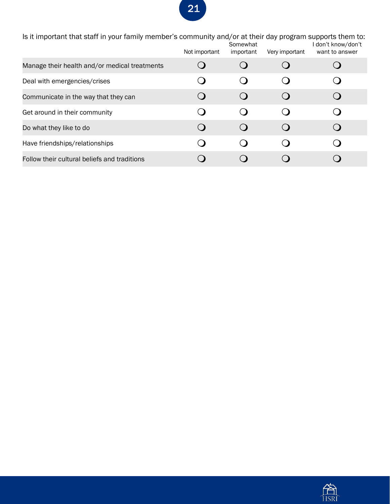| Is it important that staff in your family member's community and/or at their day program supports them to:<br>l don't know/don't<br>Somewhat |               |           |                |                |
|----------------------------------------------------------------------------------------------------------------------------------------------|---------------|-----------|----------------|----------------|
|                                                                                                                                              | Not important | important | Very important | want to answer |
| Manage their health and/or medical treatments                                                                                                |               |           |                |                |
| Deal with emergencies/crises                                                                                                                 |               |           |                |                |
| Communicate in the way that they can                                                                                                         |               |           |                |                |
| Get around in their community                                                                                                                |               |           |                |                |
| Do what they like to do                                                                                                                      |               |           |                |                |
| Have friendships/relationships                                                                                                               |               |           |                |                |
| Follow their cultural beliefs and traditions                                                                                                 |               |           |                |                |

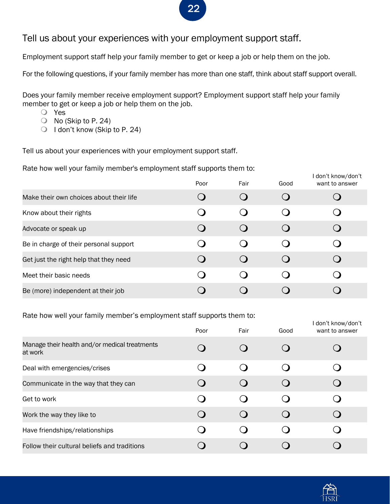#### Tell us about your experiences with your employment support staff.

Employment support staff help your family member to get or keep a job or help them on the job.

For the following questions, if your family member has more than one staff, think about staff support overall.

Does your family member receive employment support? Employment support staff help your family member to get or keep a job or help them on the job.

- Yes
- No (Skip to P. 24)
- $\bigcirc$  I don't know (Skip to P. 24)

Tell us about your experiences with your employment support staff.

Rate how well your family member's employment staff supports them to:

|                                         | Poor | Fair | Good | don't know/don't<br>want to answer |
|-----------------------------------------|------|------|------|------------------------------------|
| Make their own choices about their life |      |      |      |                                    |
| Know about their rights                 |      |      |      |                                    |
| Advocate or speak up                    |      |      |      |                                    |
| Be in charge of their personal support  |      |      |      |                                    |
| Get just the right help that they need  |      |      |      |                                    |
| Meet their basic needs                  |      |      |      |                                    |
| Be (more) independent at their job      |      |      |      |                                    |

Rate how well your family member's employment staff supports them to:

|                                                          | Poor                                          | Fair | Good     | I don't know/don't<br>want to answer |
|----------------------------------------------------------|-----------------------------------------------|------|----------|--------------------------------------|
| Manage their health and/or medical treatments<br>at work |                                               |      |          |                                      |
| Deal with emergencies/crises                             |                                               |      |          |                                      |
| Communicate in the way that they can                     |                                               |      | $\Omega$ |                                      |
| Get to work                                              |                                               |      |          |                                      |
| Work the way they like to                                | $\left( \begin{array}{c} \end{array} \right)$ |      | $\Omega$ |                                      |
| Have friendships/relationships                           |                                               |      |          |                                      |
| Follow their cultural beliefs and traditions             |                                               |      |          |                                      |

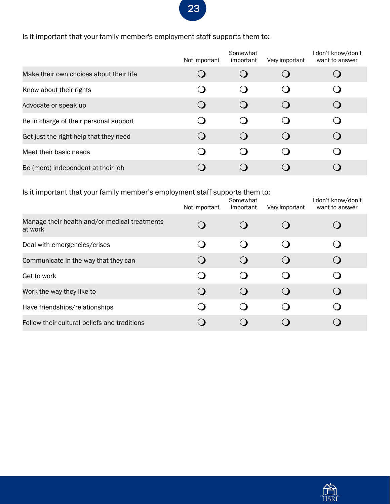Is it important that your family member's employment staff supports them to:

|                                         | Not important | Somewhat<br>important | Very important | I don't know/don't<br>want to answer |
|-----------------------------------------|---------------|-----------------------|----------------|--------------------------------------|
| Make their own choices about their life |               |                       |                |                                      |
| Know about their rights                 |               |                       |                |                                      |
| Advocate or speak up                    |               |                       |                |                                      |
| Be in charge of their personal support  |               |                       |                |                                      |
| Get just the right help that they need  |               |                       | $\Omega$       |                                      |
| Meet their basic needs                  |               |                       |                |                                      |
| Be (more) independent at their job      |               |                       |                |                                      |

Is it important that your family member's employment staff supports them to:

|                                                          | Not important | Somewhat<br>important | Very important | I don't know/don't<br>want to answer |
|----------------------------------------------------------|---------------|-----------------------|----------------|--------------------------------------|
| Manage their health and/or medical treatments<br>at work |               |                       |                |                                      |
| Deal with emergencies/crises                             |               |                       |                |                                      |
| Communicate in the way that they can                     |               |                       |                |                                      |
| Get to work                                              |               |                       |                |                                      |
| Work the way they like to                                |               |                       |                |                                      |
| Have friendships/relationships                           |               |                       |                |                                      |
| Follow their cultural beliefs and traditions             |               |                       |                |                                      |

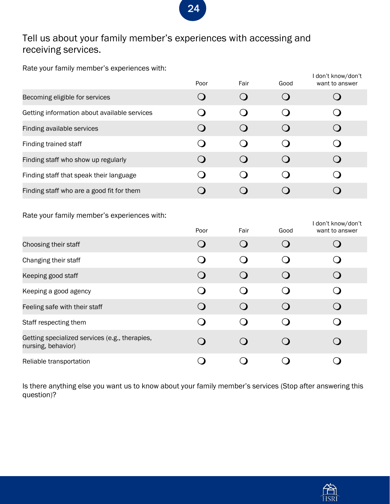## Tell us about your family member's experiences with accessing and receiving services.

Rate your family member's experiences with:

|                                                                      | Poor                                          | Fair        | Good        | I don't know/don't<br>want to answer |
|----------------------------------------------------------------------|-----------------------------------------------|-------------|-------------|--------------------------------------|
| Becoming eligible for services                                       | $\bigcirc$                                    | $\bigcirc$  | $\bigcirc$  | $\bigcirc$                           |
| Getting information about available services                         | O                                             | $\Omega$    | $\mathbf O$ | O                                    |
| Finding available services                                           | $\bigcirc$                                    | $\bigcirc$  | $\bigcirc$  | $\bigcirc$                           |
| Finding trained staff                                                | O                                             | ◯           | O           | $\bigcirc$                           |
| Finding staff who show up regularly                                  | $\bigcirc$                                    | $\Omega$    | $\mathbf O$ | $\bigcirc$                           |
| Finding staff that speak their language                              | ∩                                             | ◯ )         | ∩           | $\Omega$                             |
| Finding staff who are a good fit for them                            | $\bigcirc$                                    | $\bigcirc$  | $\bigcirc$  | $\bigcirc$                           |
| Rate your family member's experiences with:                          |                                               |             |             |                                      |
|                                                                      | Poor                                          | Fair        | Good        | I don't know/don't<br>want to answer |
| Choosing their staff                                                 | $\Omega$                                      | $\Omega$    | $\Omega$    | $\bigcirc$                           |
| Changing their staff                                                 | $\left( \begin{array}{c} \end{array} \right)$ | ( )         | 0           | ( )                                  |
| Keeping good staff                                                   | $\Omega$                                      | $\mathbf C$ | $\Omega$    | $\Omega$                             |
| Keeping a good agency                                                | ∩                                             | $\Omega$    | $\Omega$    | O                                    |
| Feeling safe with their staff                                        | $\Omega$                                      | $\Omega$    | $\Omega$    | $\bigcirc$                           |
| Staff respecting them                                                | ∩                                             | O           | O           | $\bigcirc$                           |
| Getting specialized services (e.g., therapies,<br>nursing, behavior) | $\bigcirc$                                    | ◯ )         | $\Omega$    | $\overline{\phantom{0}}$             |

Is there anything else you want us to know about your family member's services (Stop after answering this question)?